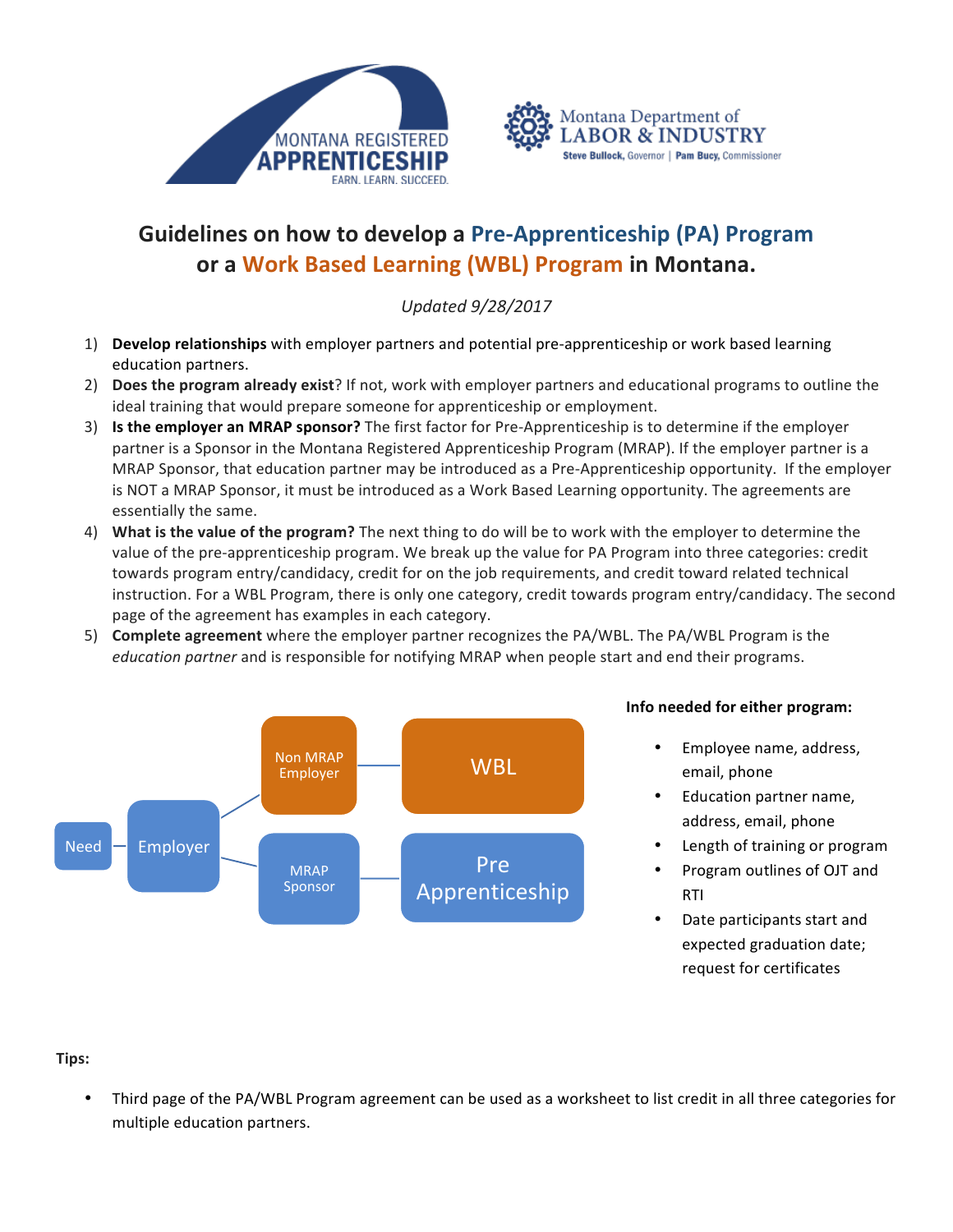



## **Guidelines on how to develop a Pre-Apprenticeship (PA) Program or a Work Based Learning (WBL) Program in Montana.**

*Updated 9/28/2017*

- 1) **Develop relationships** with employer partners and potential pre-apprenticeship or work based learning education partners.
- 2) **Does the program already exist**? If not, work with employer partners and educational programs to outline the ideal training that would prepare someone for apprenticeship or employment.
- 3) **Is the employer an MRAP sponsor?** The first factor for Pre-Apprenticeship is to determine if the employer partner is a Sponsor in the Montana Registered Apprenticeship Program (MRAP). If the employer partner is a MRAP Sponsor, that education partner may be introduced as a Pre-Apprenticeship opportunity. If the employer is NOT a MRAP Sponsor, it must be introduced as a Work Based Learning opportunity. The agreements are essentially the same.
- 4) What is the value of the program? The next thing to do will be to work with the employer to determine the value of the pre-apprenticeship program. We break up the value for PA Program into three categories: credit towards program entry/candidacy, credit for on the job requirements, and credit toward related technical instruction. For a WBL Program, there is only one category, credit towards program entry/candidacy. The second page of the agreement has examples in each category.
- 5) **Complete agreement** where the employer partner recognizes the PA/WBL. The PA/WBL Program is the *education partner* and is responsible for notifying MRAP when people start and end their programs.



## **Info needed for either program:**

- Employee name, address, email, phone
- Education partner name, address, email, phone
- Length of training or program
- Program outlines of OJT and RTI
- Date participants start and expected graduation date; request for certificates

## **Tips:**

Third page of the PA/WBL Program agreement can be used as a worksheet to list credit in all three categories for multiple education partners.